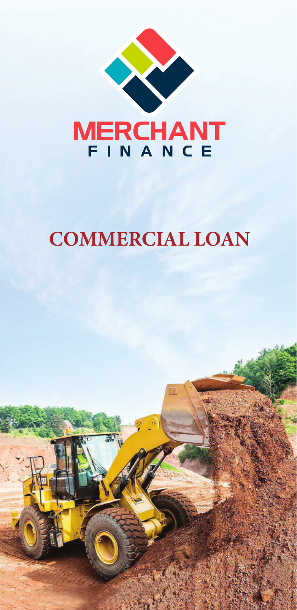

# **COMMERCIAL LOAN**